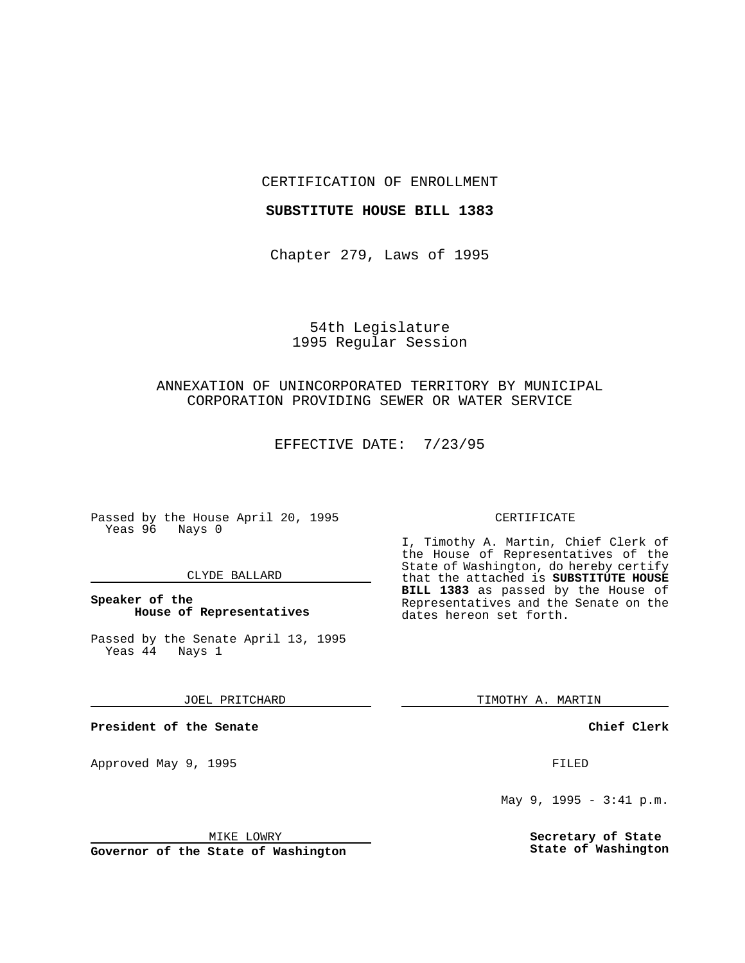CERTIFICATION OF ENROLLMENT

### **SUBSTITUTE HOUSE BILL 1383**

Chapter 279, Laws of 1995

# 54th Legislature 1995 Regular Session

# ANNEXATION OF UNINCORPORATED TERRITORY BY MUNICIPAL CORPORATION PROVIDING SEWER OR WATER SERVICE

EFFECTIVE DATE: 7/23/95

Passed by the House April 20, 1995 Yeas 96 Nays 0

### CLYDE BALLARD

### **Speaker of the House of Representatives**

Passed by the Senate April 13, 1995<br>Yeas 44 Nays 1  $Yeas$  44

JOEL PRITCHARD

**President of the Senate**

Approved May 9, 1995 **FILED** 

MIKE LOWRY

**Governor of the State of Washington**

### CERTIFICATE

I, Timothy A. Martin, Chief Clerk of the House of Representatives of the State of Washington, do hereby certify that the attached is **SUBSTITUTE HOUSE BILL 1383** as passed by the House of Representatives and the Senate on the dates hereon set forth.

TIMOTHY A. MARTIN

**Chief Clerk**

May 9, 1995 - 3:41 p.m.

**Secretary of State State of Washington**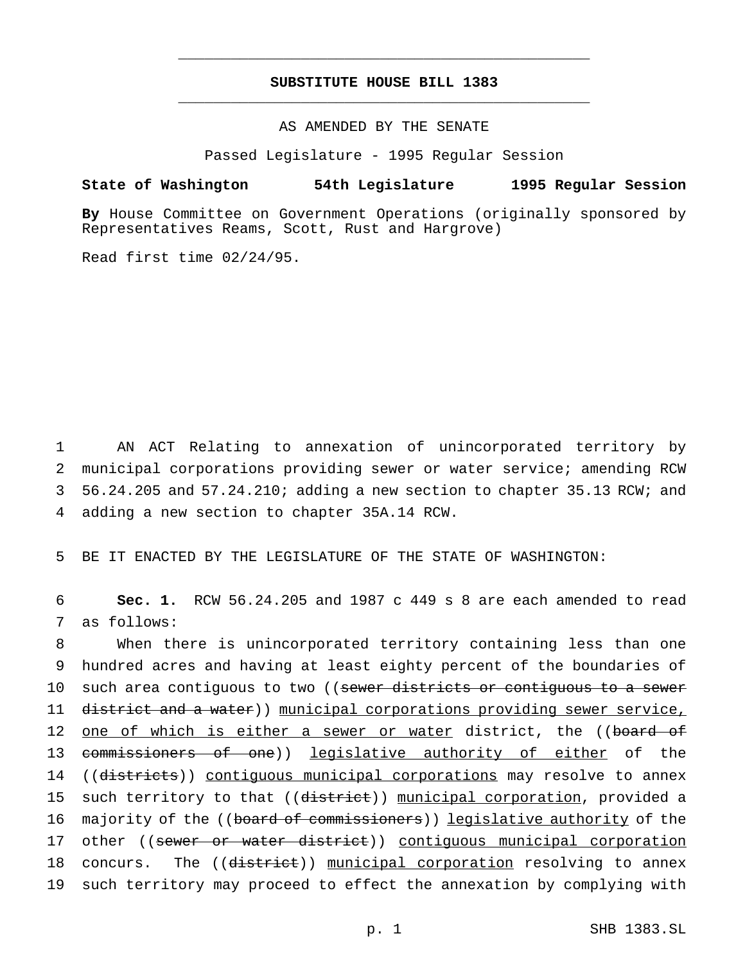# **SUBSTITUTE HOUSE BILL 1383** \_\_\_\_\_\_\_\_\_\_\_\_\_\_\_\_\_\_\_\_\_\_\_\_\_\_\_\_\_\_\_\_\_\_\_\_\_\_\_\_\_\_\_\_\_\_\_

\_\_\_\_\_\_\_\_\_\_\_\_\_\_\_\_\_\_\_\_\_\_\_\_\_\_\_\_\_\_\_\_\_\_\_\_\_\_\_\_\_\_\_\_\_\_\_

# AS AMENDED BY THE SENATE

Passed Legislature - 1995 Regular Session

### **State of Washington 54th Legislature 1995 Regular Session**

**By** House Committee on Government Operations (originally sponsored by Representatives Reams, Scott, Rust and Hargrove)

Read first time 02/24/95.

 AN ACT Relating to annexation of unincorporated territory by municipal corporations providing sewer or water service; amending RCW 56.24.205 and 57.24.210; adding a new section to chapter 35.13 RCW; and adding a new section to chapter 35A.14 RCW.

5 BE IT ENACTED BY THE LEGISLATURE OF THE STATE OF WASHINGTON:

6 **Sec. 1.** RCW 56.24.205 and 1987 c 449 s 8 are each amended to read 7 as follows:

8 When there is unincorporated territory containing less than one 9 hundred acres and having at least eighty percent of the boundaries of 10 such area contiguous to two ((sewer districts or contiguous to a sewer 11 district and a water)) municipal corporations providing sewer service, 12 <u>one of which is either a sewer or water</u> district, the ((board of 13 <del>commissioners of one</del>)) legislative authority of either of the 14 ((districts)) contiguous municipal corporations may resolve to annex 15 such territory to that ((district)) municipal corporation, provided a 16 majority of the ((board of commissioners)) legislative authority of the 17 other ((sewer or water district)) contiguous municipal corporation 18 concurs. The ((district)) municipal corporation resolving to annex 19 such territory may proceed to effect the annexation by complying with